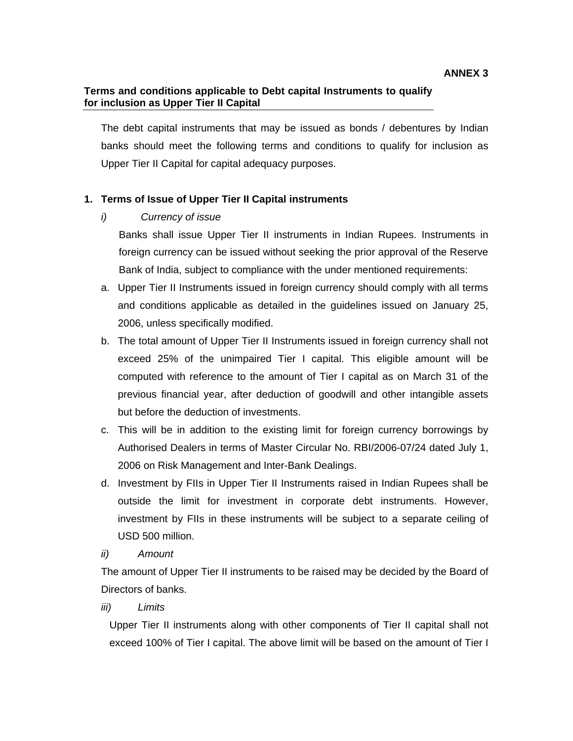#### **Terms and conditions applicable to Debt capital Instruments to qualify for inclusion as Upper Tier II Capital**

The debt capital instruments that may be issued as bonds / debentures by Indian banks should meet the following terms and conditions to qualify for inclusion as Upper Tier II Capital for capital adequacy purposes.

### **1. Terms of Issue of Upper Tier II Capital instruments**

*i) Currency of issue* 

Banks shall issue Upper Tier II instruments in Indian Rupees. Instruments in foreign currency can be issued without seeking the prior approval of the Reserve Bank of India, subject to compliance with the under mentioned requirements:

- a. Upper Tier II Instruments issued in foreign currency should comply with all terms and conditions applicable as detailed in the guidelines issued on January 25, 2006, unless specifically modified.
- b. The total amount of Upper Tier II Instruments issued in foreign currency shall not exceed 25% of the unimpaired Tier I capital. This eligible amount will be computed with reference to the amount of Tier I capital as on March 31 of the previous financial year, after deduction of goodwill and other intangible assets but before the deduction of investments.
- c. This will be in addition to the existing limit for foreign currency borrowings by Authorised Dealers in terms of Master Circular No. RBI/2006-07/24 dated July 1, 2006 on Risk Management and Inter-Bank Dealings.
- d. Investment by FIIs in Upper Tier II Instruments raised in Indian Rupees shall be outside the limit for investment in corporate debt instruments. However, investment by FIIs in these instruments will be subject to a separate ceiling of USD 500 million.
- *ii) Amount*

The amount of Upper Tier II instruments to be raised may be decided by the Board of Directors of banks.

*iii) Limits* 

Upper Tier II instruments along with other components of Tier II capital shall not exceed 100% of Tier I capital. The above limit will be based on the amount of Tier I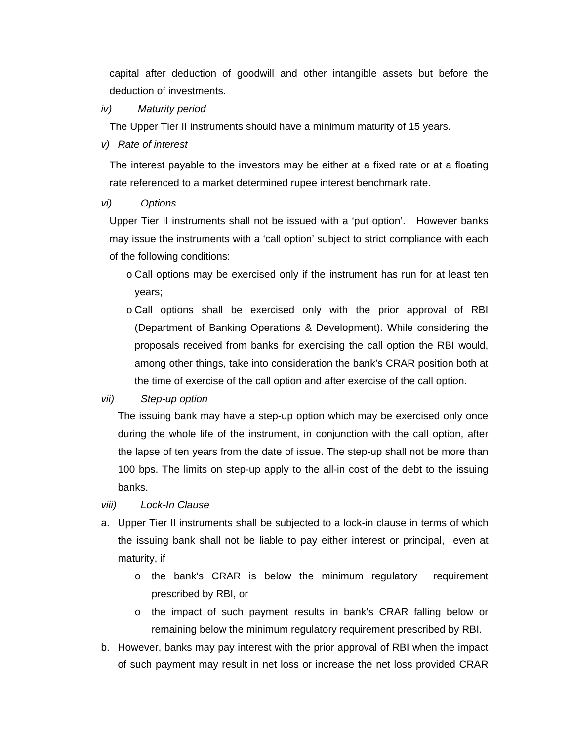capital after deduction of goodwill and other intangible assets but before the deduction of investments.

*iv) Maturity period* 

The Upper Tier II instruments should have a minimum maturity of 15 years.

*v) Rate of interest* 

The interest payable to the investors may be either at a fixed rate or at a floating rate referenced to a market determined rupee interest benchmark rate.

#### *vi) Options*

Upper Tier II instruments shall not be issued with a 'put option'. However banks may issue the instruments with a 'call option' subject to strict compliance with each of the following conditions:

- o Call options may be exercised only if the instrument has run for at least ten years;
- o Call options shall be exercised only with the prior approval of RBI (Department of Banking Operations & Development). While considering the proposals received from banks for exercising the call option the RBI would, among other things, take into consideration the bank's CRAR position both at the time of exercise of the call option and after exercise of the call option.

#### *vii) Step-up option*

The issuing bank may have a step-up option which may be exercised only once during the whole life of the instrument, in conjunction with the call option, after the lapse of ten years from the date of issue. The step-up shall not be more than 100 bps. The limits on step-up apply to the all-in cost of the debt to the issuing banks.

#### *viii) Lock-In Clause*

- a. Upper Tier II instruments shall be subjected to a lock-in clause in terms of which the issuing bank shall not be liable to pay either interest or principal, even at maturity, if
	- o the bank's CRAR is below the minimum regulatory requirement prescribed by RBI, or
	- o the impact of such payment results in bank's CRAR falling below or remaining below the minimum regulatory requirement prescribed by RBI.
- b. However, banks may pay interest with the prior approval of RBI when the impact of such payment may result in net loss or increase the net loss provided CRAR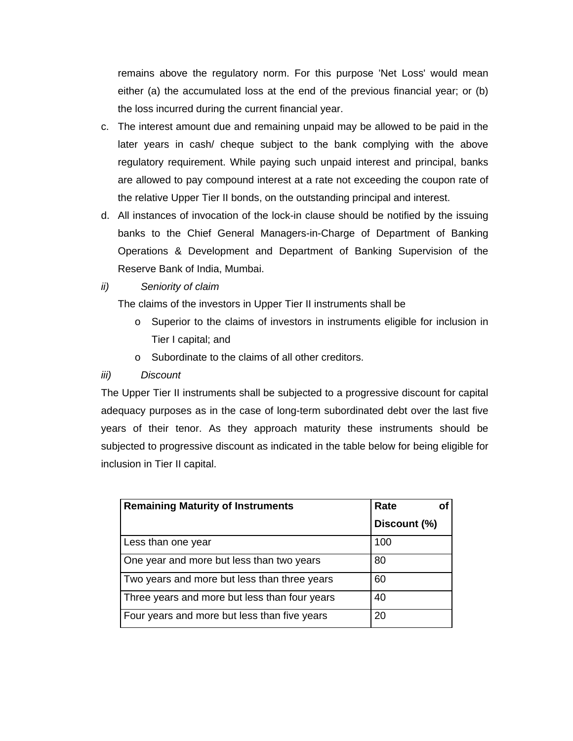remains above the regulatory norm. For this purpose 'Net Loss' would mean either (a) the accumulated loss at the end of the previous financial year; or (b) the loss incurred during the current financial year.

- c. The interest amount due and remaining unpaid may be allowed to be paid in the later years in cash/ cheque subject to the bank complying with the above regulatory requirement. While paying such unpaid interest and principal, banks are allowed to pay compound interest at a rate not exceeding the coupon rate of the relative Upper Tier II bonds, on the outstanding principal and interest.
- d. All instances of invocation of the lock-in clause should be notified by the issuing banks to the Chief General Managers-in-Charge of Department of Banking Operations & Development and Department of Banking Supervision of the Reserve Bank of India, Mumbai.
- *ii) Seniority of claim*

The claims of the investors in Upper Tier II instruments shall be

- o Superior to the claims of investors in instruments eligible for inclusion in Tier I capital; and
- o Subordinate to the claims of all other creditors.

# *iii) Discount*

The Upper Tier II instruments shall be subjected to a progressive discount for capital adequacy purposes as in the case of long-term subordinated debt over the last five years of their tenor. As they approach maturity these instruments should be subjected to progressive discount as indicated in the table below for being eligible for inclusion in Tier II capital.

| <b>Remaining Maturity of Instruments</b>      | Rate         |
|-----------------------------------------------|--------------|
|                                               | Discount (%) |
| Less than one year                            | 100          |
| One year and more but less than two years     | 80           |
| Two years and more but less than three years  | 60           |
| Three years and more but less than four years | 40           |
| Four years and more but less than five years  | 20           |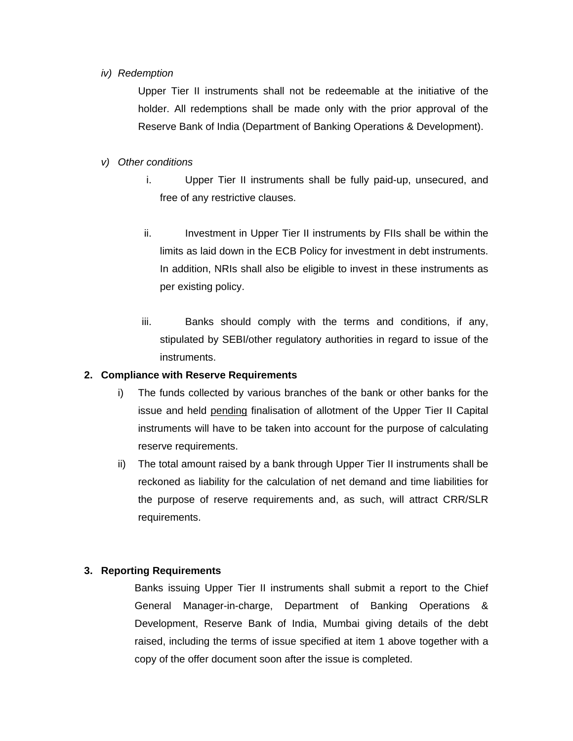#### *iv) Redemption*

Upper Tier II instruments shall not be redeemable at the initiative of the holder. All redemptions shall be made only with the prior approval of the Reserve Bank of India (Department of Banking Operations & Development).

#### *v) Other conditions*

- i. Upper Tier II instruments shall be fully paid-up, unsecured, and free of any restrictive clauses.
- ii. Investment in Upper Tier II instruments by FIIs shall be within the limits as laid down in the ECB Policy for investment in debt instruments. In addition, NRIs shall also be eligible to invest in these instruments as per existing policy.
- iii. Banks should comply with the terms and conditions, if any, stipulated by SEBI/other regulatory authorities in regard to issue of the instruments.

## **2. Compliance with Reserve Requirements**

- i) The funds collected by various branches of the bank or other banks for the issue and held pending finalisation of allotment of the Upper Tier II Capital instruments will have to be taken into account for the purpose of calculating reserve requirements.
- ii) The total amount raised by a bank through Upper Tier II instruments shall be reckoned as liability for the calculation of net demand and time liabilities for the purpose of reserve requirements and, as such, will attract CRR/SLR requirements.

# **3. Reporting Requirements**

Banks issuing Upper Tier II instruments shall submit a report to the Chief General Manager-in-charge, Department of Banking Operations & Development, Reserve Bank of India, Mumbai giving details of the debt raised, including the terms of issue specified at item 1 above together with a copy of the offer document soon after the issue is completed.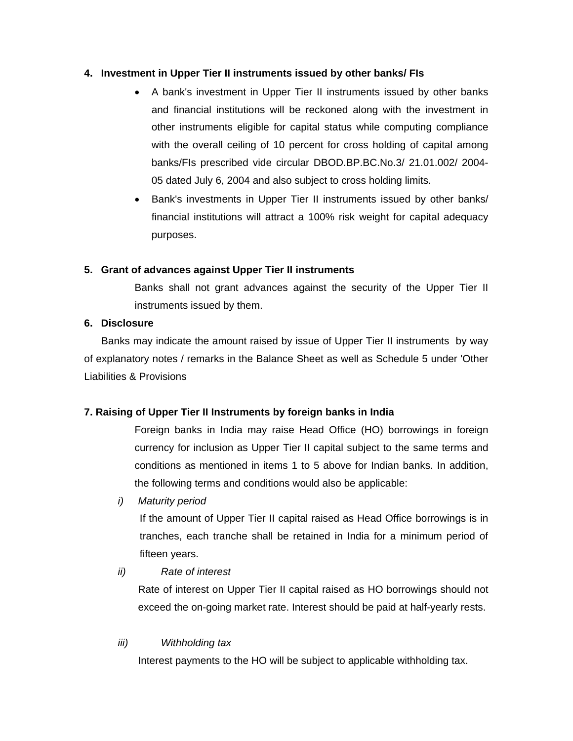#### **4. Investment in Upper Tier II instruments issued by other banks/ FIs**

- A bank's investment in Upper Tier II instruments issued by other banks and financial institutions will be reckoned along with the investment in other instruments eligible for capital status while computing compliance with the overall ceiling of 10 percent for cross holding of capital among banks/FIs prescribed vide circular DBOD.BP.BC.No.3/ 21.01.002/ 2004- 05 dated July 6, 2004 and also subject to cross holding limits.
- Bank's investments in Upper Tier II instruments issued by other banks/ financial institutions will attract a 100% risk weight for capital adequacy purposes.

# **5. Grant of advances against Upper Tier II instruments**

Banks shall not grant advances against the security of the Upper Tier II instruments issued by them.

# **6. Disclosure**

 Banks may indicate the amount raised by issue of Upper Tier II instruments by way of explanatory notes / remarks in the Balance Sheet as well as Schedule 5 under 'Other Liabilities & Provisions

# **7. Raising of Upper Tier II Instruments by foreign banks in India**

Foreign banks in India may raise Head Office (HO) borrowings in foreign currency for inclusion as Upper Tier II capital subject to the same terms and conditions as mentioned in items 1 to 5 above for Indian banks. In addition, the following terms and conditions would also be applicable:

*i) Maturity period* 

If the amount of Upper Tier II capital raised as Head Office borrowings is in tranches, each tranche shall be retained in India for a minimum period of fifteen years.

*ii) Rate of interest* 

Rate of interest on Upper Tier II capital raised as HO borrowings should not exceed the on-going market rate. Interest should be paid at half-yearly rests.

# *iii) Withholding tax*

Interest payments to the HO will be subject to applicable withholding tax.